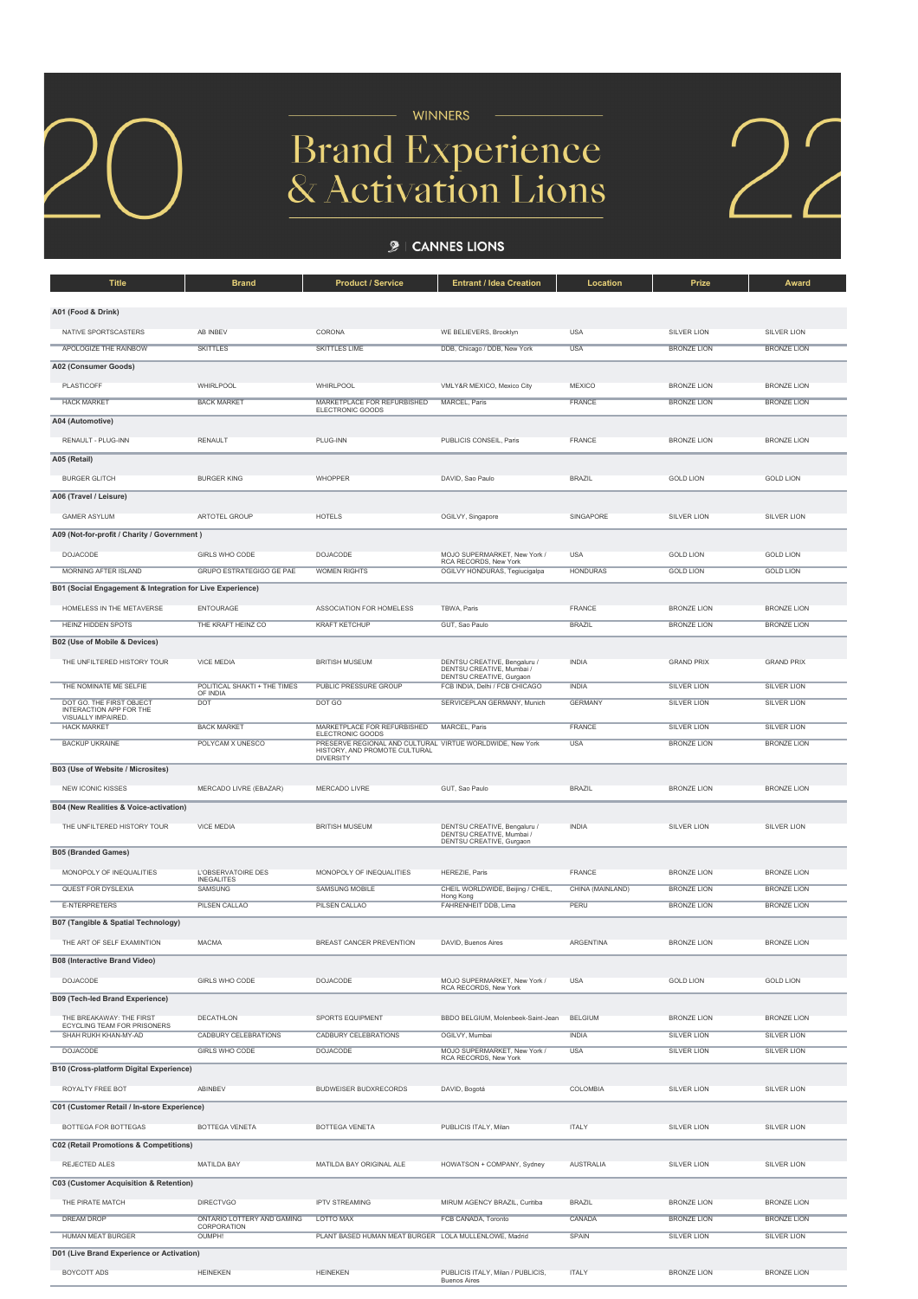

- WINNERS

## **Brand Experience<br>& Activation Lions**

 $\sum$ 

## $\mathcal{L}$  | CANNES LIONS

| <b>Title</b>                                              | <b>Brand</b>                                           | <b>Product / Service</b>                                                                   | <b>Entrant / Idea Creation</b>                                | Location         | Prize              | Award              |  |  |  |  |
|-----------------------------------------------------------|--------------------------------------------------------|--------------------------------------------------------------------------------------------|---------------------------------------------------------------|------------------|--------------------|--------------------|--|--|--|--|
| A01 (Food & Drink)                                        |                                                        |                                                                                            |                                                               |                  |                    |                    |  |  |  |  |
|                                                           |                                                        |                                                                                            |                                                               |                  |                    |                    |  |  |  |  |
| NATIVE SPORTSCASTERS                                      | AB INBEV                                               | CORONA                                                                                     | WE BELIEVERS, Brooklyn                                        | <b>USA</b>       | <b>SILVER LION</b> | SILVER LION        |  |  |  |  |
| APOLOGIZE THE RAINBOW                                     | <b>SKITTLES</b>                                        | <b>SKITTLES LIME</b>                                                                       | DDB, Chicago / DDB, New York                                  | <b>USA</b>       | <b>BRONZE LION</b> | <b>BRONZE LION</b> |  |  |  |  |
| A02 (Consumer Goods)                                      |                                                        |                                                                                            |                                                               |                  |                    |                    |  |  |  |  |
| PLASTICOFF                                                | WHIRLPOOL                                              | WHIRLPOOL                                                                                  | VMLY&R MEXICO, Mexico City                                    | MEXICO           | <b>BRONZE LION</b> | <b>BRONZE LION</b> |  |  |  |  |
| <b>HACK MARKET</b>                                        | <b>BACK MARKET</b>                                     | MARKETPLACE FOR REFURBISHED<br>ELECTRONIC GOODS                                            | MARCEL, Paris                                                 | FRANCE           | <b>BRONZE LION</b> | <b>BRONZE LION</b> |  |  |  |  |
| A04 (Automotive)                                          |                                                        |                                                                                            |                                                               |                  |                    |                    |  |  |  |  |
| RENAULT - PLUG-INN                                        | <b>RENAULT</b>                                         | PLUG-INN                                                                                   | PUBLICIS CONSEIL, Paris                                       | FRANCE           | <b>BRONZE LION</b> | <b>BRONZE LION</b> |  |  |  |  |
| A05 (Retail)                                              |                                                        |                                                                                            |                                                               |                  |                    |                    |  |  |  |  |
| <b>BURGER GLITCH</b>                                      | <b>BURGER KING</b>                                     | WHOPPER                                                                                    | DAVID, Sao Paulo                                              | <b>BRAZIL</b>    | <b>GOLD LION</b>   | <b>GOLD LION</b>   |  |  |  |  |
| A06 (Travel / Leisure)                                    |                                                        |                                                                                            |                                                               |                  |                    |                    |  |  |  |  |
| <b>GAMER ASYLUM</b>                                       | ARTOTEL GROUP                                          | <b>HOTELS</b>                                                                              | OGILVY, Singapore                                             | SINGAPORE        | <b>SILVER LION</b> | <b>SILVER LION</b> |  |  |  |  |
| A09 (Not-for-profit / Charity / Government)               |                                                        |                                                                                            |                                                               |                  |                    |                    |  |  |  |  |
| <b>DOJACODE</b>                                           | GIRLS WHO CODE                                         | DOJACODE                                                                                   | MOJO SUPERMARKET, New York /                                  | <b>USA</b>       | <b>GOLD LION</b>   | <b>GOLD LION</b>   |  |  |  |  |
| <b>MORNING AFTER ISLAND</b>                               | <b>GRUPO ESTRATEGIGO GE PAE</b>                        | <b>WOMEN RIGHTS</b>                                                                        | RCA RECORDS, New York<br>OGILVY HONDURAS, Tegiucigalpa        | <b>HONDURAS</b>  | <b>GOLD LION</b>   | <b>GOLD LION</b>   |  |  |  |  |
| B01 (Social Engagement & Integration for Live Experience) |                                                        |                                                                                            |                                                               |                  |                    |                    |  |  |  |  |
| HOMELESS IN THE METAVERSE                                 | <b>ENTOURAGE</b>                                       | ASSOCIATION FOR HOMELESS                                                                   | TBWA, Paris                                                   | FRANCE           | <b>BRONZE LION</b> | <b>BRONZE LION</b> |  |  |  |  |
| <b>HEINZ HIDDEN SPOTS</b>                                 | THE KRAFT HEINZ CO                                     | <b>KRAFT KETCHUP</b>                                                                       | GUT, Sao Paulo                                                | <b>BRAZIL</b>    | <b>BRONZE LION</b> | <b>BRONZE LION</b> |  |  |  |  |
| B02 (Use of Mobile & Devices)                             |                                                        |                                                                                            |                                                               |                  |                    |                    |  |  |  |  |
| THE UNFILTERED HISTORY TOUR                               | <b>VICE MEDIA</b>                                      | <b>BRITISH MUSEUM</b>                                                                      | DENTSU CREATIVE, Bengaluru /                                  | <b>INDIA</b>     | <b>GRAND PRIX</b>  | <b>GRAND PRIX</b>  |  |  |  |  |
|                                                           |                                                        |                                                                                            | DENTSU CREATIVE, Mumbai /<br>DENTSU CREATIVE, Gurgaon         |                  |                    |                    |  |  |  |  |
| THE NOMINATE ME SELFIE<br>DOT GO. THE FIRST OBJECT        | POLITICAL SHAKTI + THE TIMES<br>OF INDIA<br><b>DOT</b> | PUBLIC PRESSURE GROUP                                                                      | FCB INDIA, Delhi / FCB CHICAGO<br>SERVICEPLAN GERMANY, Munich | <b>INDIA</b>     | <b>SILVER LION</b> | <b>SILVER LION</b> |  |  |  |  |
| INTERACTION APP FOR THE<br>VISUALLY IMPAIRED.             |                                                        | DOT GO                                                                                     |                                                               | <b>GERMANY</b>   | <b>SILVER LION</b> | <b>SILVER LION</b> |  |  |  |  |
| <b>HACK MARKET</b>                                        | <b>BACK MARKET</b>                                     | MARKETPLACE FOR REFURBISHED<br>ELECTRONIC GOODS                                            | MARCEL, Paris                                                 | <b>FRANCE</b>    | <b>SILVER LION</b> | <b>SILVER LION</b> |  |  |  |  |
| <b>BACKUP UKRAINE</b>                                     | POLYCAM X UNESCO                                       | PRESERVE REGIONAL AND CULTURAL VIRTUE WORLDWIDE, New York<br>HISTORY, AND PROMOTE CULTURAL |                                                               | <b>USA</b>       | <b>BRONZE LION</b> | <b>BRONZE LION</b> |  |  |  |  |
| B03 (Use of Website / Microsites)                         |                                                        | <b>DIVERSITY</b>                                                                           |                                                               |                  |                    |                    |  |  |  |  |
| NEW ICONIC KISSES                                         | MERCADO LIVRE (EBAZAR)                                 | MERCADO LIVRE                                                                              | GUT, Sao Paulo                                                | <b>BRAZIL</b>    | <b>BRONZE LION</b> | <b>BRONZE LION</b> |  |  |  |  |
| B04 (New Realities & Voice-activation)                    |                                                        |                                                                                            |                                                               |                  |                    |                    |  |  |  |  |
| THE UNFILTERED HISTORY TOUR                               | <b>VICE MEDIA</b>                                      | <b>BRITISH MUSEUM</b>                                                                      | DENTSU CREATIVE, Bengaluru /                                  | <b>INDIA</b>     | <b>SILVER LION</b> | SILVER LION        |  |  |  |  |
|                                                           |                                                        |                                                                                            | DENTSU CREATIVE, Mumbai /<br>DENTSU CREATIVE, Gurgaon         |                  |                    |                    |  |  |  |  |
| <b>B05 (Branded Games)</b>                                |                                                        |                                                                                            |                                                               |                  |                    |                    |  |  |  |  |
| MONOPOLY OF INEQUALITIES                                  | L'OBSERVATOIRE DES<br><b>INEGALITES</b>                | MONOPOLY OF INEQUALITIES                                                                   | HEREZIE, Paris                                                | FRANCE           | BRONZE LION        | <b>BRONZE LION</b> |  |  |  |  |
| QUEST FOR DYSLEXIA                                        | <b>SAMSUNG</b>                                         | <b>SAMSUNG MOBILE</b>                                                                      | CHEIL WORLDWIDE, Beijing / CHEIL,<br>Hong Kong                | CHINA (MAINLAND) | <b>BRONZE LION</b> | <b>BRONZE LION</b> |  |  |  |  |
| <b>E-NTERPRETERS</b>                                      | <b>PILSEN CALLAO</b>                                   | PILSEN CALLAO                                                                              | FAHRENHEIT DDB, Lima                                          | PERU             | <b>BRONZE LION</b> | <b>BRONZE LION</b> |  |  |  |  |
| B07 (Tangible & Spatial Technology)                       |                                                        |                                                                                            |                                                               |                  |                    |                    |  |  |  |  |
| THE ART OF SELF EXAMINTION                                | <b>MACMA</b>                                           | BREAST CANCER PREVENTION                                                                   | DAVID, Buenos Aires                                           | <b>ARGENTINA</b> | <b>BRONZE LION</b> | <b>BRONZE LION</b> |  |  |  |  |
| <b>B08 (Interactive Brand Video)</b>                      |                                                        |                                                                                            |                                                               |                  |                    |                    |  |  |  |  |
| DOJACODE                                                  | GIRLS WHO CODE                                         | DOJACODE                                                                                   | MOJO SUPERMARKET, New York /                                  | USA              | <b>GOLD LION</b>   | <b>GOLD LION</b>   |  |  |  |  |
| <b>B09 (Tech-led Brand Experience)</b>                    |                                                        |                                                                                            | RCA RECORDS, New York                                         |                  |                    |                    |  |  |  |  |
| THE BREAKAWAY: THE FIRST                                  | DECATHLON                                              | SPORTS EQUIPMENT                                                                           | BBDO BELGIUM, Molenbeek-Saint-Jean                            | <b>BELGIUM</b>   | <b>BRONZE LION</b> | <b>BRONZE LION</b> |  |  |  |  |
| ECYCLING TEAM FOR PRISONERS<br>SHAH RUKH KHAN-MY-AD       | <b>CADBURY CELEBRATIONS</b>                            | <b>CADBURY CELEBRATIONS</b>                                                                | OGILVY, Mumbai                                                | <b>INDIA</b>     | <b>SILVER LION</b> | <b>SILVER LION</b> |  |  |  |  |
| <b>DOJACODE</b>                                           | <b>GIRLS WHO CODE</b>                                  | <b>DOJACODE</b>                                                                            | MOJO SUPERMARKET, New York /<br>RCA RECORDS, New York         | <b>USA</b>       | <b>SILVER LION</b> | <b>SILVER LION</b> |  |  |  |  |
| <b>B10 (Cross-platform Digital Experience)</b>            |                                                        |                                                                                            |                                                               |                  |                    |                    |  |  |  |  |
| ROYALTY FREE BOT                                          | ABINBEV                                                | <b>BUDWEISER BUDXRECORDS</b>                                                               | DAVID, Bogotá                                                 | COLOMBIA         | <b>SILVER LION</b> | SILVER LION        |  |  |  |  |
| C01 (Customer Retail / In-store Experience)               |                                                        |                                                                                            |                                                               |                  |                    |                    |  |  |  |  |
| BOTTEGA FOR BOTTEGAS                                      | BOTTEGA VENETA                                         | BOTTEGA VENETA                                                                             | PUBLICIS ITALY, Milan                                         | <b>ITALY</b>     | SILVER LION        | SILVER LION        |  |  |  |  |
| <b>C02 (Retail Promotions &amp; Competitions)</b>         |                                                        |                                                                                            |                                                               |                  |                    |                    |  |  |  |  |
|                                                           |                                                        |                                                                                            |                                                               |                  |                    |                    |  |  |  |  |
| REJECTED ALES                                             | <b>MATILDA BAY</b>                                     | MATILDA BAY ORIGINAL ALE                                                                   | HOWATSON + COMPANY, Sydney                                    | <b>AUSTRALIA</b> | <b>SILVER LION</b> | SILVER LION        |  |  |  |  |
| C03 (Customer Acquisition & Retention)                    |                                                        |                                                                                            |                                                               |                  |                    |                    |  |  |  |  |
| THE PIRATE MATCH                                          | <b>DIRECTVGO</b>                                       | <b>IPTV STREAMING</b>                                                                      | MIRUM AGENCY BRAZIL, Curitiba                                 | <b>BRAZIL</b>    | <b>BRONZE LION</b> | <b>BRONZE LION</b> |  |  |  |  |
| <b>DREAM DROP</b>                                         | ONTARIO LOTTERY AND GAMING<br>CORPORATION              | LOTTO MAX                                                                                  | FCB CANADA, Toronto                                           | CANADA           | <b>BRONZE LION</b> | <b>BRONZE LION</b> |  |  |  |  |
| <b>HUMAN MEAT BURGER</b>                                  | OUMPH!                                                 | PLANT BASED HUMAN MEAT BURGER LOLA MULLENLOWE, Madrid                                      |                                                               | SPAIN            | <b>SILVER LION</b> | <b>SILVER LION</b> |  |  |  |  |
| D01 (Live Brand Experience or Activation)                 |                                                        |                                                                                            |                                                               |                  |                    |                    |  |  |  |  |
| BOYCOTT ADS                                               | <b>HEINEKEN</b>                                        | <b>HEINEKEN</b>                                                                            | PUBLICIS ITALY, Milan / PUBLICIS,                             | <b>ITALY</b>     | <b>BRONZE LION</b> | <b>BRONZE LION</b> |  |  |  |  |